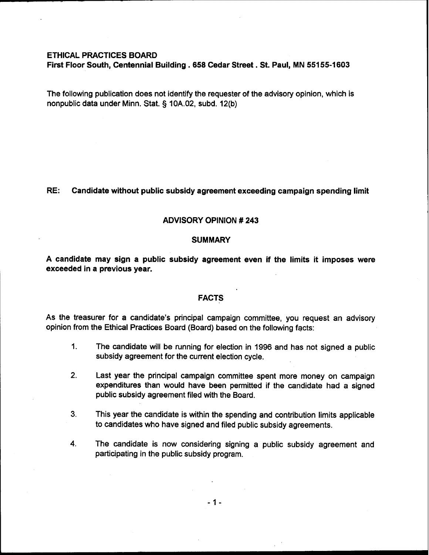## ETHICAL PRACTICES BOARD

First Floor South, Centennial Building . **658** Cedar Street. St. Paul, MN **55155-1603** 

The following publication does not identify the requester of the advisory opinion, which is nonpublic data under Minn. Stat. § 10A.02, subd. 12(b)

### RE: Candidate without public subsidy agreement exceeding campaign spending limit

# ADVISORY OPINION # 243

#### **SUMMARY**

A candidate may sign a public subsidy agreement even if the limits it imposes were exceeded in a previous year.

## FACTS

As the treasurer for a candidate's principal campaign committee, you request an advisory opinion from the Ethical Practices Board (Board) based on the following facts:

- 1. The candidate will be running for election in 1996 and has not signed a public subsidy agreement for the current election cycle.
- 2. Last year the principal campaign committee spent more money on campaign expenditures than would have been permitted if the candidate had a signed public subsidy agreement filed with the Board.
- **3.** This year the candidate is within the spending and contribution limits applicable to candidates who have signed and filed public subsidy agreements.
- **4.** The candidate is now considering signing a public subsidy agreement and participating in the public subsidy program.

 $-1-$